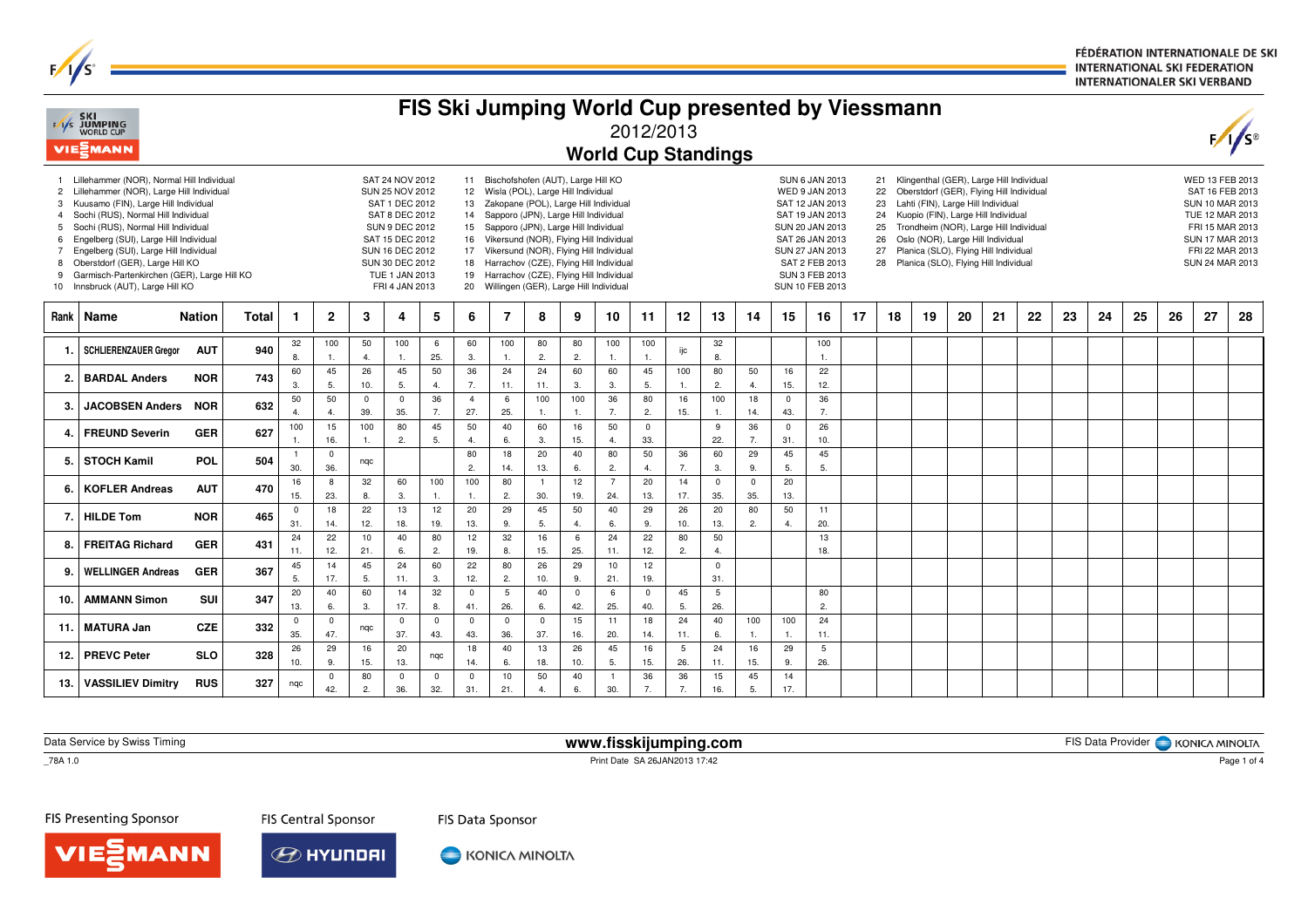FÉDÉRATION INTERNATIONALE DE SKI **INTERNATIONAL SKI FEDERATION INTERNATIONALER SKI VERBAND** 

| FIS Ski Jumping World Cup presented by Viessmann<br><b>SKI</b><br>F/I/S JUMPING<br>WORLD CUP<br>2012/2013<br>VIESMANN<br><b>World Cup Standings</b> |                                                                                                                                                                                                                                                                                                                                                                                                                            |               |              |                       |                                                                                                                                                                                                                                                                                                                                                                                                                                                                                                                                                                                                                                                                                                                                                                                                                                                                                                                                                                                                                                                                                                                                                                                                                                                 |                      |                       |                    |                       |                        |                        |                       |                       |                     |                         | $F/\sqrt{s}$          |                         |                                                                                                                                                      |                     |    |    |    |    |    |    |    |    |    |    |    |    |
|-----------------------------------------------------------------------------------------------------------------------------------------------------|----------------------------------------------------------------------------------------------------------------------------------------------------------------------------------------------------------------------------------------------------------------------------------------------------------------------------------------------------------------------------------------------------------------------------|---------------|--------------|-----------------------|-------------------------------------------------------------------------------------------------------------------------------------------------------------------------------------------------------------------------------------------------------------------------------------------------------------------------------------------------------------------------------------------------------------------------------------------------------------------------------------------------------------------------------------------------------------------------------------------------------------------------------------------------------------------------------------------------------------------------------------------------------------------------------------------------------------------------------------------------------------------------------------------------------------------------------------------------------------------------------------------------------------------------------------------------------------------------------------------------------------------------------------------------------------------------------------------------------------------------------------------------|----------------------|-----------------------|--------------------|-----------------------|------------------------|------------------------|-----------------------|-----------------------|---------------------|-------------------------|-----------------------|-------------------------|------------------------------------------------------------------------------------------------------------------------------------------------------|---------------------|----|----|----|----|----|----|----|----|----|----|----|----|
| $\overline{c}$<br>$\overline{4}$<br>6<br>$\overline{7}$<br>8<br>9                                                                                   | Lillehammer (NOR), Normal Hill Individual<br>Lillehammer (NOR), Large Hill Individual<br>3 Kuusamo (FIN), Large Hill Individual<br>Sochi (RUS), Normal Hill Individual<br>5 Sochi (RUS), Normal Hill Individual<br>Engelberg (SUI), Large Hill Individual<br>Engelberg (SUI), Large Hill Individual<br>Oberstdorf (GER), Large Hill KO<br>Garmisch-Partenkirchen (GER), Large Hill KO<br>10 Innsbruck (AUT), Large Hill KO |               |              |                       | Klingenthal (GER), Large Hill Individual<br>SAT 24 NOV 2012<br>11 Bischofshofen (AUT), Large Hill KO<br><b>SUN 6 JAN 2013</b><br>21<br>SUN 25 NOV 2012<br>12 Wisla (POL), Large Hill Individual<br>WED 9 JAN 2013<br>Oberstdorf (GER), Flying Hill Individual<br>22<br>SAT 1 DEC 2012<br>13 Zakopane (POL), Large Hill Individual<br>Lahti (FIN), Large Hill Individual<br>SAT 12 JAN 2013<br>23<br>SAT 8 DEC 2012<br>Sapporo (JPN), Large Hill Individual<br>Kuopio (FIN), Large Hill Individual<br>14<br>SAT 19 JAN 2013<br>24<br><b>SUN 9 DEC 2012</b><br>15 Sapporo (JPN), Large Hill Individual<br>Trondheim (NOR), Large Hill Individual<br>SUN 20 JAN 2013<br>25<br>SAT 15 DEC 2012<br>16 Vikersund (NOR), Flying Hill Individual<br>SAT 26 JAN 2013<br>26<br>Oslo (NOR), Large Hill Individual<br>SUN 16 DEC 2012<br>Vikersund (NOR), Flying Hill Individual<br>SUN 27 JAN 2013<br>Planica (SLO), Flying Hill Individual<br>17<br>27<br>SUN 30 DEC 2012<br>18 Harrachov (CZE), Flying Hill Individual<br>SAT 2 FEB 2013<br>28 Planica (SLO), Flying Hill Individual<br>19 Harrachov (CZE), Flying Hill Individual<br>SUN 3 FEB 2013<br>TUE 1 JAN 2013<br>FRI 4 JAN 2013<br>20 Willingen (GER), Large Hill Individual<br>SUN 10 FEB 2013 |                      |                       |                    |                       |                        |                        |                       |                       |                     |                         |                       |                         | WED 13 FEB 2013<br>SAT 16 FEB 2013<br>SUN 10 MAR 2013<br>TUE 12 MAR 2013<br>FRI 15 MAR 2013<br>SUN 17 MAR 2013<br>FRI 22 MAR 2013<br>SUN 24 MAR 2013 |                     |    |    |    |    |    |    |    |    |    |    |    |    |
| <b>Rank</b>                                                                                                                                         | Name                                                                                                                                                                                                                                                                                                                                                                                                                       | <b>Nation</b> | <b>Total</b> | -1                    | $\mathbf{2}$                                                                                                                                                                                                                                                                                                                                                                                                                                                                                                                                                                                                                                                                                                                                                                                                                                                                                                                                                                                                                                                                                                                                                                                                                                    | 3                    | 4                     | 5                  | 6                     | $\overline{7}$         | 8                      | 9                     | 10                    | 11                  | 12                      | 13                    | 14                      | 15                                                                                                                                                   | 16                  | 17 | 18 | 19 | 20 | 21 | 22 | 23 | 24 | 25 | 26 | 27 | 28 |
| -1.                                                                                                                                                 | <b>SCHLIERENZAUER Greaor</b>                                                                                                                                                                                                                                                                                                                                                                                               | <b>AUT</b>    | 940          | 32<br>8.              | 100<br>$\overline{1}$                                                                                                                                                                                                                                                                                                                                                                                                                                                                                                                                                                                                                                                                                                                                                                                                                                                                                                                                                                                                                                                                                                                                                                                                                           | 50<br>$\overline{4}$ | 100<br>$\overline{1}$ | 6<br>25.           | 60<br>3.              | 100<br>$\mathbf{1}$ .  | 80<br>2.               | 80<br>2.              | 100                   | 100<br>1.           | ijc                     | 32<br>8.              |                         |                                                                                                                                                      | 100<br>$\mathbf{1}$ |    |    |    |    |    |    |    |    |    |    |    |    |
| 2.                                                                                                                                                  | <b>BARDAL Anders</b>                                                                                                                                                                                                                                                                                                                                                                                                       | <b>NOR</b>    | 743          | 60<br>3.              | 45<br>5.                                                                                                                                                                                                                                                                                                                                                                                                                                                                                                                                                                                                                                                                                                                                                                                                                                                                                                                                                                                                                                                                                                                                                                                                                                        | 26<br>10.            | 45<br>5.              | 50<br>4.           | 36<br>7.              | 24<br>11.              | 24<br>11.              | 60<br>3.              | 60<br>3.              | 45<br>5.            | 100<br>$\overline{1}$ . | 80<br>2.              | 50<br>4.                | 16<br>15.                                                                                                                                            | 22<br>12.           |    |    |    |    |    |    |    |    |    |    |    |    |
| 3.                                                                                                                                                  | <b>JACOBSEN Anders</b>                                                                                                                                                                                                                                                                                                                                                                                                     | <b>NOR</b>    | 632          | 50<br>$\overline{4}$  | 50<br>$\overline{4}$                                                                                                                                                                                                                                                                                                                                                                                                                                                                                                                                                                                                                                                                                                                                                                                                                                                                                                                                                                                                                                                                                                                                                                                                                            | $\mathbf 0$<br>39.   | $\mathbf 0$<br>35.    | 36<br>7.           | $\overline{4}$<br>27. | 6<br>25.               | 100<br>1.              | 100<br>$\mathbf{1}$   | 36<br>7.              | 80<br>2.            | 16<br>15.               | 100<br>$\mathbf{1}$   | 18<br>14.               | $\overline{0}$<br>43.                                                                                                                                | 36<br>7.            |    |    |    |    |    |    |    |    |    |    |    |    |
| 4.                                                                                                                                                  | <b>FREUND Severin</b>                                                                                                                                                                                                                                                                                                                                                                                                      | <b>GER</b>    | 627          | 100<br>$\overline{1}$ | 15<br>16.                                                                                                                                                                                                                                                                                                                                                                                                                                                                                                                                                                                                                                                                                                                                                                                                                                                                                                                                                                                                                                                                                                                                                                                                                                       | 100<br>$\mathbf{1}$  | 80<br>2.              | 45<br>5.           | 50<br>4.              | 40<br>6.               | 60<br>3.               | 16<br>15.             | 50<br>4.              | $\mathbf{0}$<br>33. |                         | 9<br>22.              | 36<br>7.                | $\overline{0}$<br>31.                                                                                                                                | 26<br>10.           |    |    |    |    |    |    |    |    |    |    |    |    |
| 5.                                                                                                                                                  | <b>STOCH Kamil</b>                                                                                                                                                                                                                                                                                                                                                                                                         | <b>POL</b>    | 504          | 30.                   | $\overline{0}$<br>36.                                                                                                                                                                                                                                                                                                                                                                                                                                                                                                                                                                                                                                                                                                                                                                                                                                                                                                                                                                                                                                                                                                                                                                                                                           | nqc                  |                       |                    | 80<br>2.              | 18<br>14.              | 20<br>13.              | 40<br>6.              | 80<br>2.              | 50<br>4.            | 36<br>7.                | 60<br>3.              | 29<br>9.                | 45<br>5.                                                                                                                                             | 45<br>5.            |    |    |    |    |    |    |    |    |    |    |    |    |
| 6.                                                                                                                                                  | <b>KOFLER Andreas</b>                                                                                                                                                                                                                                                                                                                                                                                                      | <b>AUT</b>    | 470          | 16<br>15.             | 8<br>23.                                                                                                                                                                                                                                                                                                                                                                                                                                                                                                                                                                                                                                                                                                                                                                                                                                                                                                                                                                                                                                                                                                                                                                                                                                        | 32<br>8              | 60<br>3.              | 100<br>1.          | 100<br>1.             | 80<br>2.               | $\overline{1}$<br>30.  | 12<br>19.             | $\overline{7}$<br>24. | 20<br>13.           | 14<br>17.               | $\mathbf 0$<br>35.    | $\mathbf 0$<br>35.      | 20<br>13.                                                                                                                                            |                     |    |    |    |    |    |    |    |    |    |    |    |    |
| 7.                                                                                                                                                  | <b>HILDE Tom</b>                                                                                                                                                                                                                                                                                                                                                                                                           | <b>NOR</b>    | 465          | $\overline{0}$<br>31. | 18<br>14.                                                                                                                                                                                                                                                                                                                                                                                                                                                                                                                                                                                                                                                                                                                                                                                                                                                                                                                                                                                                                                                                                                                                                                                                                                       | 22<br>12.            | 13<br>18.             | 12<br>19.          | 20<br>13.             | 29<br>9.               | 45<br>5.               | 50<br>$\overline{4}$  | 40<br>6.              | 29<br>9.            | 26<br>10.               | 20<br>13.             | 80<br>2.                | 50<br>4.                                                                                                                                             | 11<br>20.           |    |    |    |    |    |    |    |    |    |    |    |    |
| 8.                                                                                                                                                  | <b>FREITAG Richard</b>                                                                                                                                                                                                                                                                                                                                                                                                     | <b>GER</b>    | 431          | 24<br>11.             | 22<br>12.                                                                                                                                                                                                                                                                                                                                                                                                                                                                                                                                                                                                                                                                                                                                                                                                                                                                                                                                                                                                                                                                                                                                                                                                                                       | 10<br>21.            | 40<br>6.              | 80<br>2.           | 12<br>19.             | 32<br>8.               | 16<br>15.              | 6<br>25.              | 24<br>11.             | 22<br>12.           | 80<br>2.                | 50<br>4.              |                         |                                                                                                                                                      | 13<br>18.           |    |    |    |    |    |    |    |    |    |    |    |    |
| 9.                                                                                                                                                  | <b>WELLINGER Andreas</b>                                                                                                                                                                                                                                                                                                                                                                                                   | <b>GER</b>    | 367          | 45<br>5.              | 14<br>17.                                                                                                                                                                                                                                                                                                                                                                                                                                                                                                                                                                                                                                                                                                                                                                                                                                                                                                                                                                                                                                                                                                                                                                                                                                       | 45<br>5.             | 24<br>11.             | 60<br>3.           | 22<br>12.             | 80<br>2.               | 26<br>10.              | 29<br>9               | 10<br>21.             | 12<br>19.           |                         | $\mathbf 0$<br>31.    |                         |                                                                                                                                                      |                     |    |    |    |    |    |    |    |    |    |    |    |    |
| 10.                                                                                                                                                 | <b>AMMANN Simon</b>                                                                                                                                                                                                                                                                                                                                                                                                        | SUI           | 347          | 20<br>13.             | 40<br>6.                                                                                                                                                                                                                                                                                                                                                                                                                                                                                                                                                                                                                                                                                                                                                                                                                                                                                                                                                                                                                                                                                                                                                                                                                                        | 60<br>3.             | 14<br>17.             | 32<br>8.           | $\mathbf 0$<br>41.    | $5\phantom{.0}$<br>26. | 40<br>6.               | $\overline{0}$<br>42. | 6<br>25.              | $\Omega$<br>40.     | 45<br>5.                | $\overline{5}$<br>26. |                         |                                                                                                                                                      | 80<br>2.            |    |    |    |    |    |    |    |    |    |    |    |    |
| 11.                                                                                                                                                 | <b>MATURA Jan</b>                                                                                                                                                                                                                                                                                                                                                                                                          | <b>CZE</b>    | 332          | $\mathbf 0$<br>35.    | $\overline{0}$<br>47.                                                                                                                                                                                                                                                                                                                                                                                                                                                                                                                                                                                                                                                                                                                                                                                                                                                                                                                                                                                                                                                                                                                                                                                                                           | nqc                  | $\mathbf 0$<br>37.    | $^{\circ}$<br>43.  | $\mathbf 0$<br>43.    | $\overline{0}$<br>36.  | $\Omega$<br>37.        | 15<br>16.             | 11<br>20.             | 18<br>14.           | 24<br>11.               | 40<br>6.              | 100<br>$\overline{1}$ . | 100<br>$\mathbf{1}$ .                                                                                                                                | 24<br>11.           |    |    |    |    |    |    |    |    |    |    |    |    |
| 12.                                                                                                                                                 | <b>PREVC Peter</b>                                                                                                                                                                                                                                                                                                                                                                                                         | <b>SLO</b>    | 328          | 26<br>10.             | 29<br>9.                                                                                                                                                                                                                                                                                                                                                                                                                                                                                                                                                                                                                                                                                                                                                                                                                                                                                                                                                                                                                                                                                                                                                                                                                                        | 16<br>15.            | 20<br>13.             | nqc                | 18<br>14.             | 40<br>6.               | 13<br>18.              | 26<br>10.             | 45<br>5.              | 16<br>15.           | $5\phantom{.0}$<br>26.  | 24<br>11.             | 16<br>15.               | 29<br>9.                                                                                                                                             | 5<br>26.            |    |    |    |    |    |    |    |    |    |    |    |    |
| 13.                                                                                                                                                 | <b>VASSILIEV Dimitry</b>                                                                                                                                                                                                                                                                                                                                                                                                   | <b>RUS</b>    | 327          | ngc                   | $\overline{0}$<br>42.                                                                                                                                                                                                                                                                                                                                                                                                                                                                                                                                                                                                                                                                                                                                                                                                                                                                                                                                                                                                                                                                                                                                                                                                                           | 80<br>2.             | $\mathsf 0$<br>36.    | $\mathsf 0$<br>32. | $\mathbf 0$<br>31.    | 10<br>21.              | 50<br>$\overline{4}$ . | 40<br>6.              | 30.                   | 36<br>7.            | 36<br>7.                | 15<br>16.             | 45<br>5.                | 14<br>17.                                                                                                                                            |                     |    |    |    |    |    |    |    |    |    |    |    |    |

Data Service by Swiss Timing

 $\overline{\phantom{0}}$  78A 1.0

 $F/1/S^3$ 

 **www.fisskijumping.com**Print Date SA 26JAN2013 17:42

FIS Data Provider | KONICA MINOLTA

FIS Presenting Sponsor

**FIS Central Sponsor** 

FIS Data Sponsor





KONICA MINOLTA

Page 1 of 4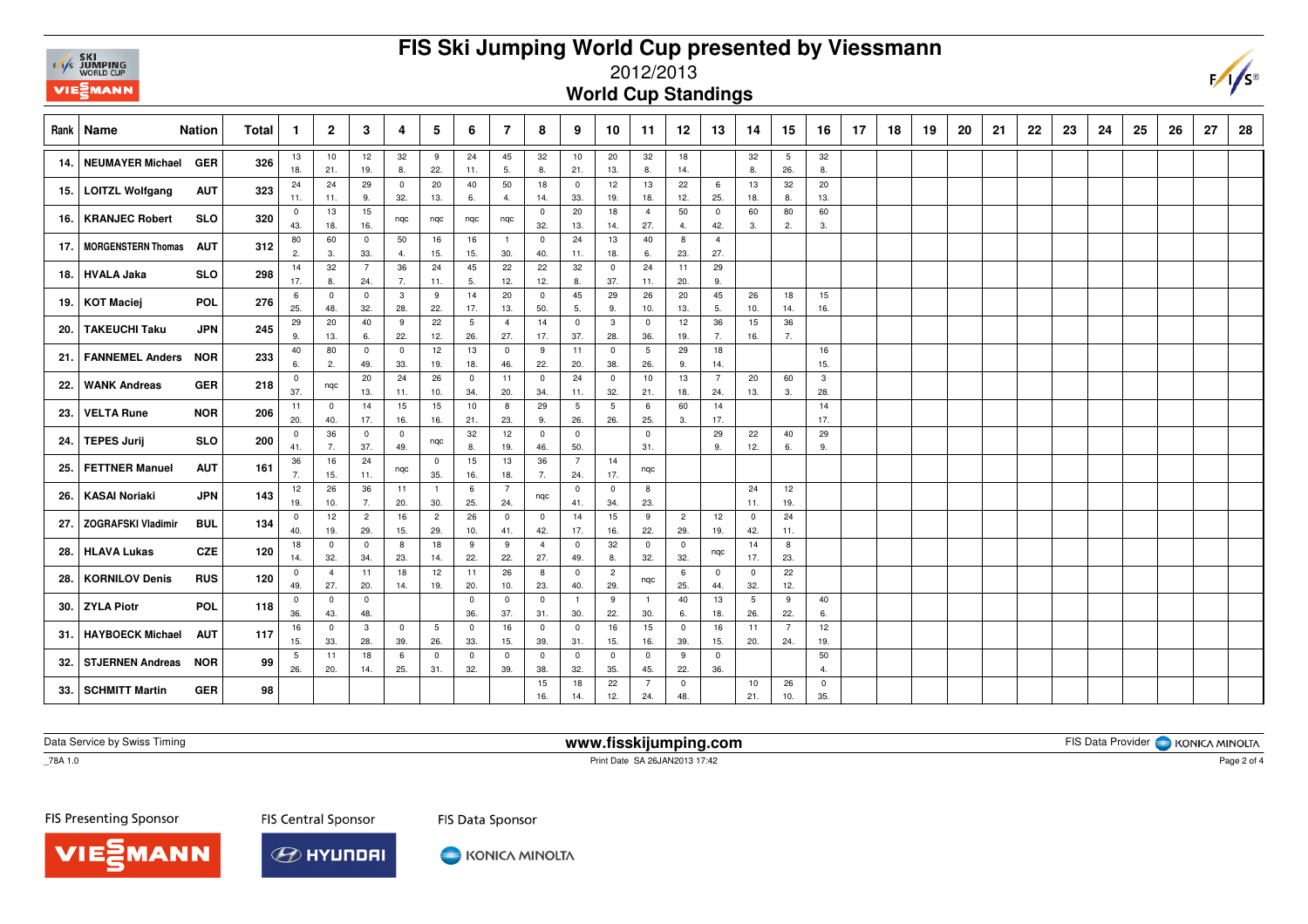# **FIS Ski Jumping World Cup presented by Viessmann**



### 2012/2013

**World Cup Standings**

|       | <b>Nation</b><br>Rank   Name            | Total | $\mathbf{1}$      | $\overline{2}$          | 3                    | 4            | 5                     | 6              | -7                             | 8                  | 9                       | 10                  | 11                    | 12                 | 13                | 14                    | 15             | 16                 | 17 | 18 | 19 | 20 | 21 | -22 | 23 | 24 | 25 | 26 | 27 | 28 |
|-------|-----------------------------------------|-------|-------------------|-------------------------|----------------------|--------------|-----------------------|----------------|--------------------------------|--------------------|-------------------------|---------------------|-----------------------|--------------------|-------------------|-----------------------|----------------|--------------------|----|----|----|----|----|-----|----|----|----|----|----|----|
| 14.   | <b>NEUMAYER Michael</b><br>GER          | 326   | 13                | 10                      | 12 <sup>2</sup>      | 32           | 9                     | 24             | 45                             | 32                 | 10                      | 20                  | 32                    | 18                 |                   | 32                    | 5              | 32                 |    |    |    |    |    |     |    |    |    |    |    |    |
|       |                                         |       | 18.               | 21.                     | 19.                  | 8.           | 22.                   | 11.            | 5.                             | 8.                 | 21.                     | 13.                 | 8.                    | 14.                |                   | 8.                    | 26.            | 8.                 |    |    |    |    |    |     |    |    |    |    |    |    |
| 15. I | <b>LOITZL Wolfgang</b><br><b>AUT</b>    | 323   | 24                | 24                      | 29                   | $\mathbf 0$  | 20                    | 40             | 50                             | 18                 | $\overline{\mathbf{0}}$ | 12                  | 13                    | 22                 | 6                 | 13                    | 32             | 20                 |    |    |    |    |    |     |    |    |    |    |    |    |
|       |                                         |       | 11.               | 11.                     | 9.                   | 32.          | 13.                   | 6.             | 4.                             | 14.                | 33.                     | 19.                 | 18.                   | 12.                | 25.               | 18.                   | 8.             | 13.                |    |    |    |    |    |     |    |    |    |    |    |    |
| 16.   | <b>KRANJEC Robert</b><br><b>SLO</b>     | 320   | $^{\circ}$<br>43. | 13<br>18.               | 15<br>16.            | nqc          | nqc                   | nqc            | nqc                            | $\mathbf 0$<br>32. | 20<br>13.               | 18<br>14.           | $\overline{4}$<br>27. | 50<br>4.           | $^{\circ}$<br>42. | 60<br>3.              | 80<br>2.       | 60<br>3.           |    |    |    |    |    |     |    |    |    |    |    |    |
| 17. I | <b>MORGENSTERN Thomas</b><br><b>AUT</b> | 312   | 80                | 60                      | $\mathbf 0$          | 50           | 16                    | 16             | $\overline{1}$                 | $\mathbf 0$        | 24                      | 13                  | 40                    | 8                  | $\overline{4}$    |                       |                |                    |    |    |    |    |    |     |    |    |    |    |    |    |
|       |                                         |       | 2.                | 3                       | 33.                  | 4.           | 15.                   | 15.            | 30.                            | 40.                | 11.                     | 18.                 | 6.                    | 23.                | 27.               |                       |                |                    |    |    |    |    |    |     |    |    |    |    |    |    |
| 18.   | <b>HVALA Jaka</b><br><b>SLO</b>         | 298   | 14                | 32                      | $\overline{7}$       | 36           | 24                    | 45             | 22                             | 22                 | 32                      | $\mathbf{0}$        | 24                    | 11                 | 29                |                       |                |                    |    |    |    |    |    |     |    |    |    |    |    |    |
|       |                                         |       | 17.               | 8.                      | 24.                  | 7.           | 11.                   | 5.             | 12.                            | 12.                | 8.                      | 37.                 | 11.                   | 20.                | 9.                |                       |                |                    |    |    |    |    |    |     |    |    |    |    |    |    |
| 19.   | <b>POL</b><br><b>KOT Maciej</b>         | 276   | -6                | $\mathbf 0$             | $\mathbf 0$          | $\mathbf{3}$ | 9                     | 14             | 20                             | $\mathbf 0$        | 45                      | 29                  | 26                    | 20                 | 45                | 26                    | 18             | 15                 |    |    |    |    |    |     |    |    |    |    |    |    |
|       |                                         |       | 25.               | 48.                     | 32.                  | 28.          | 22.                   | 17.            | 13.                            | 50.                | 5.                      | 9.                  | 10.                   | 13.                | 5.                | 10.                   | 14.            | 16.                |    |    |    |    |    |     |    |    |    |    |    |    |
| 20.   | <b>TAKEUCHI Taku</b><br><b>JPN</b>      | 245   | 29<br>9.          | 20<br>13.               | 40<br>6.             | 9<br>22.     | 22<br>12.             | 5<br>26.       | $\overline{4}$<br>27.          | 14<br>17.          | $\overline{0}$<br>37.   | $\mathbf{3}$<br>28. | $\mathbf 0$<br>36.    | 12<br>19.          | 36<br>7.          | 15<br>16.             | 36<br>7.       |                    |    |    |    |    |    |     |    |    |    |    |    |    |
|       |                                         |       | 40                | 80                      | $\mathbf 0$          | $\mathbf 0$  | 12 <sup>2</sup>       | 13             | $\overline{0}$                 | 9                  | 11                      | $\mathbf 0$         | 5                     | 29                 | 18                |                       |                | 16                 |    |    |    |    |    |     |    |    |    |    |    |    |
| 21.   | <b>FANNEMEL Anders</b><br><b>NOR</b>    | 233   | 6.                | 2.                      | 49.                  | 33.          | 19.                   | 18.            | 46.                            | 22.                | 20.                     | 38.                 | 26.                   | 9.                 | 14.               |                       |                | 15.                |    |    |    |    |    |     |    |    |    |    |    |    |
|       |                                         |       | $^{\circ}$        |                         | 20                   | 24           | 26                    | $\overline{0}$ | 11                             | $\mathbf 0$        | 24                      | $\overline{0}$      | 10                    | 13                 | $\overline{7}$    | 20                    | 60             | $\mathbf{3}$       |    |    |    |    |    |     |    |    |    |    |    |    |
| 22.   | <b>WANK Andreas</b><br><b>GER</b>       | 218   | 37.               | nqc                     | 13.                  | 11.          | 10.                   | 34.            | 20.                            | 34.                | 11.                     | 32.                 | 21.                   | 18.                | 24.               | 13.                   | 3.             | 28.                |    |    |    |    |    |     |    |    |    |    |    |    |
|       | <b>VELTA Rune</b><br><b>NOR</b>         | 206   | 11                | $^{\circ}$              | 14                   | 15           | 15                    | 10             | 8                              | 29                 | 5                       | 5                   | 6                     | 60                 | 14                |                       |                | 14                 |    |    |    |    |    |     |    |    |    |    |    |    |
| 23.   |                                         |       | 20.               | 40.                     | 17.                  | 16.          | 16.                   | 21.            | 23.                            | 9.                 | 26.                     | 26.                 | 25.                   | 3.                 | 17.               |                       |                | 17.                |    |    |    |    |    |     |    |    |    |    |    |    |
| 24.   | <b>TEPES Jurij</b><br><b>SLO</b>        | 200   | $^{\circ}$        | 36                      | $\mathbf 0$          | $\mathbf{0}$ | nqc                   | 32             | 12                             | $\mathbf 0$        | $\mathbf 0$             |                     | $\mathbf 0$           |                    | 29                | 22                    | 40             | 29                 |    |    |    |    |    |     |    |    |    |    |    |    |
|       |                                         |       | 41.               | 7.                      | 37.                  | 49.          |                       | 8.             | 19.                            | 46.                | 50.                     |                     | 31.                   |                    | 9.                | 12.                   | 6.             | 9.                 |    |    |    |    |    |     |    |    |    |    |    |    |
| 25.   | <b>FETTNER Manuel</b><br><b>AUT</b>     | 161   | 36                | 16                      | 24                   | nqc          | $\mathbf 0$           | 15             | 13                             | 36                 | $\overline{7}$          | 14                  | nqc                   |                    |                   |                       |                |                    |    |    |    |    |    |     |    |    |    |    |    |    |
|       |                                         |       | 7.                | 15.                     | 11.                  |              | 35.                   | 16.            | 18.                            | 7.                 | 24.                     | 17.                 |                       |                    |                   |                       |                |                    |    |    |    |    |    |     |    |    |    |    |    |    |
| 26.   | <b>KASAI Noriaki</b><br><b>JPN</b>      | 143   | 12                | 26                      | 36                   | 11           | $\overline{1}$        | 6              | $\overline{7}$                 | nqc                | $\overline{0}$          | $\overline{0}$      | 8                     |                    |                   | 24                    | 12             |                    |    |    |    |    |    |     |    |    |    |    |    |    |
|       |                                         |       | 19.               | 10.<br>12               | 7.<br>$\overline{2}$ | 20.<br>16    | 30.<br>$\overline{2}$ | 25.<br>26      | 24.<br>$\overline{\mathbf{0}}$ | $\mathbf 0$        | 41.<br>14               | 34.<br>15           | 23.<br>9              | $\overline{2}$     | 12                | 11.<br>$\overline{0}$ | 19.<br>24      |                    |    |    |    |    |    |     |    |    |    |    |    |    |
| 27.   | <b>ZOGRAFSKI Vladimir</b><br><b>BUL</b> | 134   | $^{\circ}$<br>40. | 19.                     | 29.                  | 15.          | 29.                   | 10.            | 41.                            | 42.                | 17.                     | 16.                 | 22.                   | 29.                | 19.               | 42.                   | 11.            |                    |    |    |    |    |    |     |    |    |    |    |    |    |
|       |                                         |       | 18                | $\mathbf 0$             | $\mathbf 0$          | 8            | 18                    | 9              | 9                              | $\overline{4}$     | $\mathbf 0$             | 32                  | $\mathbf 0$           | $\mathbf 0$        |                   | 14                    | 8              |                    |    |    |    |    |    |     |    |    |    |    |    |    |
| 28.   | <b>HLAVA Lukas</b><br><b>CZE</b>        | 120   | 14.               | 32.                     | 34.                  | 23.          | 14.                   | 22.            | 22.                            | 27.                | 49.                     | 8.                  | 32.                   | 32.                | nqc               | 17.                   | 23.            |                    |    |    |    |    |    |     |    |    |    |    |    |    |
|       |                                         |       | $^{\circ}$        | $\overline{4}$          | 11                   | 18           | 12                    | 11             | 26                             | 8                  | $\mathbf 0$             | $\overline{2}$      |                       | 6                  | $\mathbf 0$       | $\overline{0}$        | 22             |                    |    |    |    |    |    |     |    |    |    |    |    |    |
| 28.   | <b>KORNILOV Denis</b><br><b>RUS</b>     | 120   | 49.               | 27.                     | 20.                  | 14.          | 19.                   | 20.            | 10.                            | 23.                | 40.                     | 29.                 | nqc                   | 25.                | 44.               | 32.                   | 12.            |                    |    |    |    |    |    |     |    |    |    |    |    |    |
|       |                                         |       | $^{\circ}$        | $\mathbf 0$             | $\mathbf 0$          |              |                       | $\overline{0}$ | $\overline{0}$                 | $\mathbf 0$        | $\overline{1}$          | 9                   | $\mathbf{1}$          | 40                 | 13                | 5                     | 9              | 40                 |    |    |    |    |    |     |    |    |    |    |    |    |
| 30.1  | <b>ZYLA Piotr</b><br><b>POL</b>         | 118   | 36.               | 43.                     | 48.                  |              |                       | 36.            | 37.                            | 31.                | 30.                     | 22.                 | 30.                   | 6.                 | 18.               | 26.                   | 22.            | 6.                 |    |    |    |    |    |     |    |    |    |    |    |    |
| 31.   | <b>HAYBOECK Michael</b><br><b>AUT</b>   | 117   | 16                | $\overline{\mathbf{0}}$ | 3                    | $\mathbf{0}$ | 5                     | $\overline{0}$ | 16                             | $\mathbf 0$        | $\mathbf 0$             | 16                  | 15                    | $\mathbf 0$        | 16                | 11                    | $\overline{7}$ | 12                 |    |    |    |    |    |     |    |    |    |    |    |    |
|       |                                         |       | 15.               | 33.                     | 28.                  | 39.          | 26.                   | 33.            | 15.                            | 39.                | 31.                     | 15.                 | 16.                   | 39.                | 15.               | 20.                   | 24.            | 19.                |    |    |    |    |    |     |    |    |    |    |    |    |
| 32.   | <b>STJERNEN Andreas</b><br><b>NOR</b>   | 99    | 5                 | 11                      | 18                   | 6            | $^{\circ}$            | $\overline{0}$ | $\overline{\mathbf{0}}$        | $\mathbf 0$        | $\overline{\mathbf{0}}$ | $\mathbf 0$         | $^{\circ}$            | 9                  | $^{\circ}$        |                       |                | 50                 |    |    |    |    |    |     |    |    |    |    |    |    |
|       |                                         |       | 26.               | 20.                     | 14.                  | 25.          | 31.                   | 32.            | 39.                            | 38.                | 32.                     | 35.                 | 45.                   | 22.                | 36.               |                       |                | 4.                 |    |    |    |    |    |     |    |    |    |    |    |    |
| 33.   | <b>GER</b><br><b>SCHMITT Martin</b>     | 98    |                   |                         |                      |              |                       |                |                                | 15<br>16.          | 18<br>14.               | 22<br>12.           | 7<br>24.              | $\mathbf 0$<br>48. |                   | 10<br>21.             | 26<br>10.      | $\mathbf 0$<br>35. |    |    |    |    |    |     |    |    |    |    |    |    |

Data Service by Swiss Timing

**www.fisskijumping.com**

FIS Data Provider | KONICA MINOLTA

 $-78A$  1.0

Print Date SA 26JAN2013 17:42

FIS Presenting Sponsor

MANN

**FIS Central Sponsor** 



KONICA MINOLTA

FIS Data Sponsor

Page 2 of 4

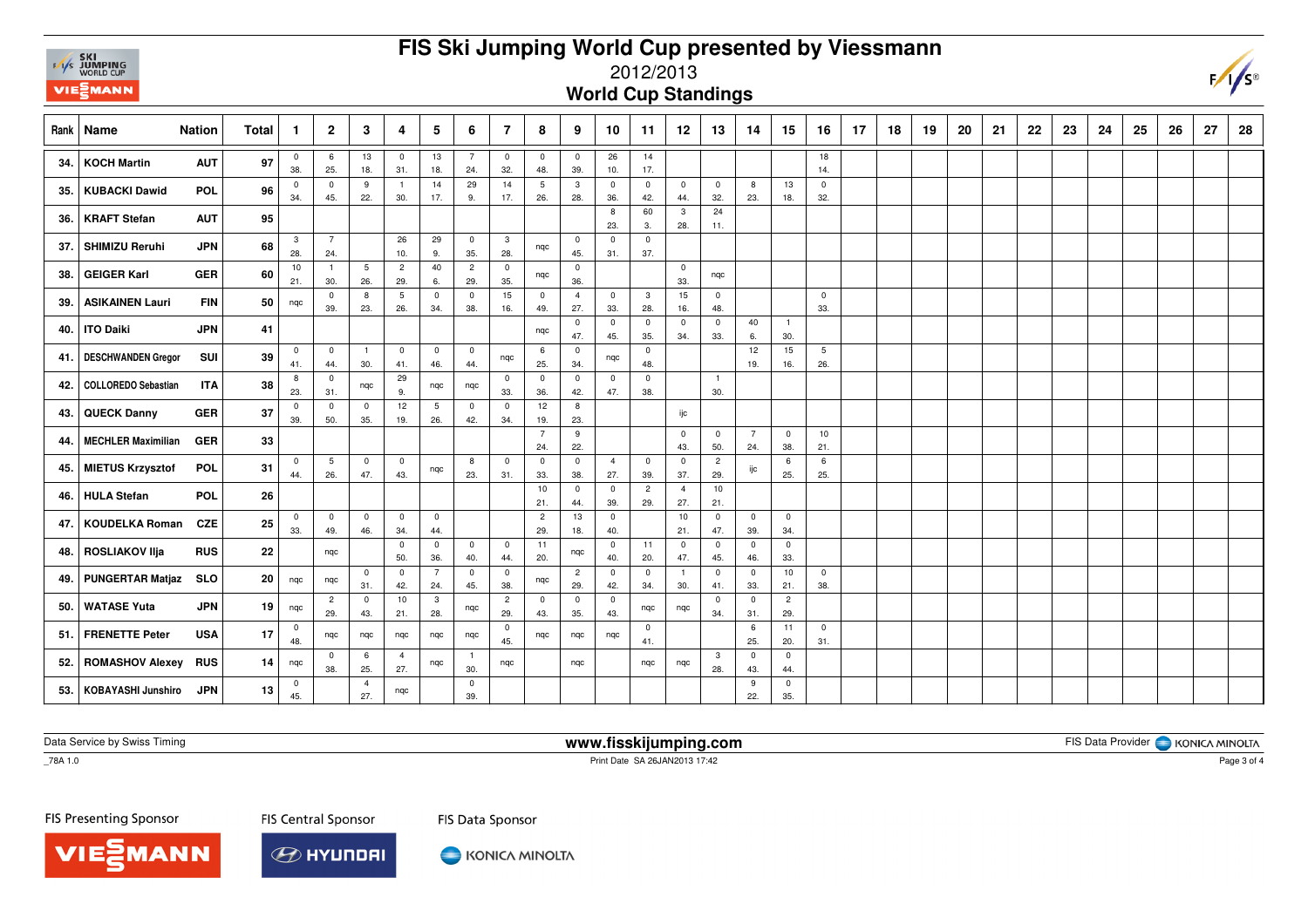# **FIS Ski Jumping World Cup presented by Viessmann**



#### 2012/2013

#### **World Cup Standings**

| Rank | Name                       | <b>Nation</b> | <b>Total</b> | $\mathbf 1$         | $\mathbf{2}$          | 3                     | 4                     | 5                      | 6                     | $\overline{7}$        | 8                     | 9                     | 10                    | 11                    | 12                    | 13                    | 14                    | 15                    | 16                  | 17 | 18 | 19 | 20 | 21 | 22 | 23 | 24 | 25 | 26 | 27 | 28 |
|------|----------------------------|---------------|--------------|---------------------|-----------------------|-----------------------|-----------------------|------------------------|-----------------------|-----------------------|-----------------------|-----------------------|-----------------------|-----------------------|-----------------------|-----------------------|-----------------------|-----------------------|---------------------|----|----|----|----|----|----|----|----|----|----|----|----|
| 34.  | <b>KOCH Martin</b>         | <b>AUT</b>    | 97           | $\mathbf 0$<br>38.  | 6<br>25.              | 13<br>18.             | $\mathbf 0$<br>31.    | 13<br>18.              | $\overline{7}$<br>24. | $\overline{0}$<br>32. | $\overline{0}$<br>48. | $\mathbf 0$<br>39.    | 26<br>10.             | 14<br>17.             |                       |                       |                       |                       | 18<br>14.           |    |    |    |    |    |    |    |    |    |    |    |    |
| 35.  | <b>KUBACKI Dawid</b>       | <b>POL</b>    | 96           | $\mathbf 0$<br>34.  | $\overline{0}$<br>45. | 9<br>22.              | $\overline{1}$<br>30. | 14<br>17.              | 29<br>9.              | 14<br>17.             | 5<br>26.              | 3<br>28.              | $\mathbf 0$<br>36.    | $\mathbf 0$<br>42.    | $\overline{0}$<br>44. | $\mathbf 0$<br>32.    | 8<br>23.              | 13<br>18.             | $\mathbf{0}$<br>32. |    |    |    |    |    |    |    |    |    |    |    |    |
| 36.  | <b>KRAFT Stefan</b>        | <b>AUT</b>    | 95           |                     |                       |                       |                       |                        |                       |                       |                       |                       | 8<br>23.              | 60<br>3.              | $\mathbf{3}$<br>28.   | 24<br>11.             |                       |                       |                     |    |    |    |    |    |    |    |    |    |    |    |    |
| 37.  | <b>SHIMIZU Reruhi</b>      | <b>JPN</b>    | 68           | $\mathbf{3}$<br>28. | $\overline{7}$<br>24. |                       | 26<br>10.             | 29<br>9.               | $\overline{0}$<br>35. | $\mathbf{3}$<br>28.   | ngc                   | $\overline{0}$<br>45. | $\mathbf 0$<br>31.    | $\mathsf 0$<br>37.    |                       |                       |                       |                       |                     |    |    |    |    |    |    |    |    |    |    |    |    |
| 38.  | <b>GEIGER Karl</b>         | <b>GER</b>    | 60           | 10<br>21.           | $\overline{1}$<br>30. | 5<br>26.              | $\overline{c}$<br>29. | 40<br>6.               | $\overline{c}$<br>29. | $\mathbf 0$<br>35.    | nqc                   | $\mathbf 0$<br>36.    |                       |                       | $\mathbf 0$<br>33.    | nqc                   |                       |                       |                     |    |    |    |    |    |    |    |    |    |    |    |    |
| 39.  | <b>ASIKAINEN Lauri</b>     | <b>FIN</b>    | 50           | nqc                 | $\mathbf 0$<br>39.    | 8<br>23.              | 5<br>26.              | $\mathbf 0$<br>34.     | $\mathbf 0$<br>38.    | 15<br>16.             | $\mathbf 0$<br>49.    | $\overline{4}$<br>27. | $\overline{0}$<br>33. | $\mathbf{3}$<br>28.   | 15<br>16.             | $\mathbf 0$<br>48.    |                       |                       | $\mathbf 0$<br>33.  |    |    |    |    |    |    |    |    |    |    |    |    |
| 40.  | <b>ITO Daiki</b>           | <b>JPN</b>    | 41           |                     |                       |                       |                       |                        |                       |                       | ngc                   | $\mathbf 0$<br>47.    | $\mathbf 0$<br>45.    | $\mathsf 0$<br>35.    | $\mathbf 0$<br>34.    | $\mathbf 0$<br>33.    | 40<br>6.              | $\overline{1}$<br>30. |                     |    |    |    |    |    |    |    |    |    |    |    |    |
| 41.  | <b>DESCHWANDEN Gregor</b>  | SUI           | 39           | $\mathbf 0$<br>41.  | $\overline{0}$<br>44. | $\overline{1}$<br>30. | $\mathbf 0$<br>41.    | $\overline{0}$<br>46.  | $\overline{0}$<br>44. | nqc                   | 6<br>25.              | $\mathbf 0$<br>34.    | nqc                   | $\mathbf 0$<br>48.    |                       |                       | 12<br>19.             | 15<br>16.             | 5<br>26.            |    |    |    |    |    |    |    |    |    |    |    |    |
| 42.  | <b>COLLOREDO Sebastian</b> | <b>ITA</b>    | 38           | 8<br>23.            | $\mathbf 0$<br>31.    | nqc                   | 29<br>9.              | nqc                    | nqc                   | $\mathbf 0$<br>33.    | $\mathbf 0$<br>36.    | $^{\circ}$<br>42.     | $\mathbf 0$<br>47.    | $^{\circ}$<br>38.     |                       | $\overline{1}$<br>30. |                       |                       |                     |    |    |    |    |    |    |    |    |    |    |    |    |
| 43.  | <b>QUECK Danny</b>         | <b>GER</b>    | 37           | $\mathbf 0$<br>39.  | 0<br>50.              | $\mathbf 0$<br>35.    | 12<br>19.             | 5<br>26.               | $\mathbf 0$<br>42.    | $\mathbf 0$<br>34.    | 12<br>19.             | 8<br>23.              |                       |                       | ijc                   |                       |                       |                       |                     |    |    |    |    |    |    |    |    |    |    |    |    |
| 44.  | <b>MECHLER Maximilian</b>  | <b>GER</b>    | 33           |                     |                       |                       |                       |                        |                       |                       | $\overline{7}$<br>24. | 9<br>22.              |                       |                       | $\mathbf 0$<br>43.    | $\mathbf 0$<br>50.    | $\overline{7}$<br>24. | $\overline{0}$<br>38. | 10<br>21.           |    |    |    |    |    |    |    |    |    |    |    |    |
| 45.  | MIETUS Krzysztof           | <b>POL</b>    | 31           | $\mathbf 0$<br>44.  | 5<br>26.              | $\mathbf 0$<br>47.    | $\mathsf 0$<br>43.    | nqc                    | 8<br>23.              | $\overline{0}$<br>31. | $\mathbf 0$<br>33.    | $\mathbf 0$<br>38.    | $\overline{4}$<br>27. | $\mathsf 0$<br>39.    | $\overline{0}$<br>37. | $\overline{c}$<br>29. | ijc                   | 6<br>25.              | 6<br>25.            |    |    |    |    |    |    |    |    |    |    |    |    |
| 46.  | <b>HULA Stefan</b>         | <b>POL</b>    | 26           |                     |                       |                       |                       |                        |                       |                       | 10<br>21.             | $\mathbf 0$<br>44.    | $\mathbf 0$<br>39.    | $\overline{2}$<br>29. | $\overline{4}$<br>27. | 10<br>21.             |                       |                       |                     |    |    |    |    |    |    |    |    |    |    |    |    |
| 47.  | <b>KOUDELKA Roman</b>      | <b>CZE</b>    | 25           | $\mathbf 0$<br>33.  | $\mathbf 0$<br>49.    | $\mathbf 0$<br>46.    | 0<br>34.              | $\overline{0}$<br>44.  |                       |                       | $\overline{c}$<br>29. | 13<br>18.             | $\mathbf 0$<br>40.    |                       | 10<br>21.             | $\overline{0}$<br>47. | $\mathbf 0$<br>39.    | $\overline{0}$<br>34. |                     |    |    |    |    |    |    |    |    |    |    |    |    |
| 48.  | <b>ROSLIAKOV IIja</b>      | <b>RUS</b>    | 22           |                     | nqc                   |                       | $\mathbf 0$<br>50.    | $\mathbf 0$<br>36.     | $\mathbf 0$<br>40.    | $\overline{0}$<br>44. | 11<br>20.             | nqc                   | $\mathbf 0$<br>40.    | 11<br>20.             | $\mathbf 0$<br>47.    | $\mathsf 0$<br>45.    | $\mathbf 0$<br>46.    | $\mathbf 0$<br>33.    |                     |    |    |    |    |    |    |    |    |    |    |    |    |
| 49.  | <b>PUNGERTAR Matjaz</b>    | <b>SLO</b>    | 20           | nqc                 | nqc                   | $\mathbf 0$<br>31.    | $\mathbf 0$<br>42.    | $7\overline{ }$<br>24. | $\mathbf 0$<br>45.    | $\overline{0}$<br>38. | nqc                   | $\overline{c}$<br>29. | $\mathbf 0$<br>42.    | $\mathbf 0$<br>34.    | $\mathbf{1}$<br>30.   | $\mathbf 0$<br>41.    | $\mathbf 0$<br>33.    | 10<br>21.             | $\mathbf 0$<br>38.  |    |    |    |    |    |    |    |    |    |    |    |    |
| 50.  | <b>WATASE Yuta</b>         | <b>JPN</b>    | 19           | nqc                 | $\overline{c}$<br>29. | $\overline{0}$<br>43. | 10<br>21.             | $\mathbf{3}$<br>28.    | nqc                   | $\overline{2}$<br>29. | $\mathbf 0$<br>43.    | $\mathbf 0$<br>35.    | $\overline{0}$<br>43. | nqc                   | nqc                   | $\mathbf 0$<br>34.    | $\mathbf 0$<br>31.    | $\overline{2}$<br>29. |                     |    |    |    |    |    |    |    |    |    |    |    |    |
| 51.  | <b>FRENETTE Peter</b>      | <b>USA</b>    | 17           | $^{\circ}$<br>48.   | nqc                   | nqc                   | nqc                   | nqc                    | nqc                   | $\overline{0}$<br>45. | nqc                   | nqc                   | nqc                   | $\mathsf 0$<br>41.    |                       |                       | 6<br>25.              | 11<br>20.             | $\mathbf 0$<br>31.  |    |    |    |    |    |    |    |    |    |    |    |    |
| 52.  | <b>ROMASHOV Alexey</b>     | <b>RUS</b>    | 14           | nqc                 | $\mathbf 0$<br>38.    | 6<br>25.              | $\overline{4}$<br>27. | nqc                    | $\overline{1}$<br>30. | nqc                   |                       | ngc                   |                       | nqc                   | nqc                   | $\mathbf{3}$<br>28.   | $\mathbf 0$<br>43.    | $\overline{0}$<br>44. |                     |    |    |    |    |    |    |    |    |    |    |    |    |
| 53.  | KOBAYASHI Junshiro         | <b>JPN</b>    | 13           | $\mathbf 0$<br>45.  |                       | $\overline{4}$<br>27. | nqc                   |                        | $\mathbf 0$<br>39.    |                       |                       |                       |                       |                       |                       |                       | 9<br>22.              | $\mathbf 0$<br>35.    |                     |    |    |    |    |    |    |    |    |    |    |    |    |

Data Service by Swiss Timing

**www.fisskijumping.com**

FIS Data Provider | KONICA MINOLTA

 $-78A$  1.0

Print Date SA 26JAN2013 17:42

FIS Presenting Sponsor

**MANN** 

**FIS Central Sponsor** 



KONICA MINOLTA

FIS Data Sponsor

Page 3 of 4